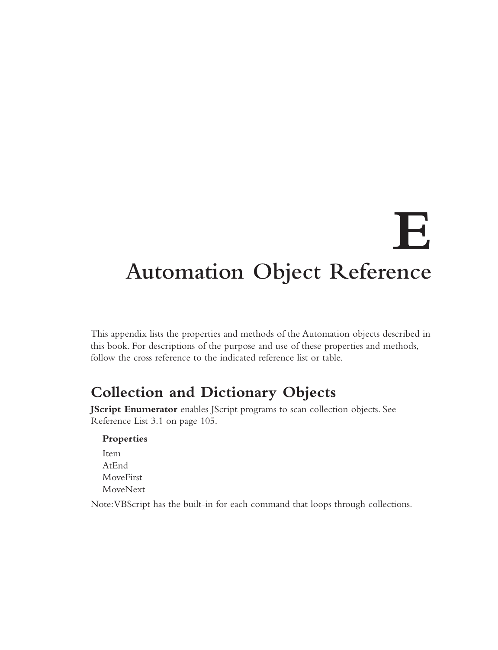# **E Automation Object Reference**

This appendix lists the properties and methods of the Automation objects described in this book. For descriptions of the purpose and use of these properties and methods, follow the cross reference to the indicated reference list or table.

## **Collection and Dictionary Objects**

**JScript Enumerator** enables JScript programs to scan collection objects. See Reference List 3.1 on page 105.

## **Properties**

Item AtEnd MoveFirst MoveNext

Note:VBScript has the built-in for each command that loops through collections.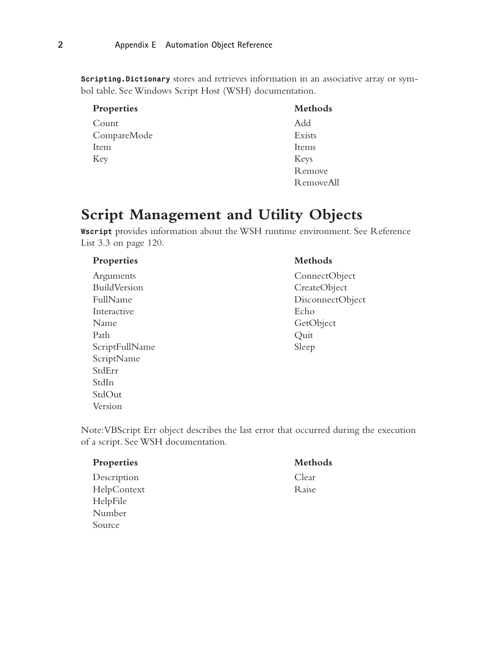**Scripting.Dictionary** stores and retrieves information in an associative array or symbol table. See Windows Script Host (WSH) documentation.

| Properties  | Methods                |
|-------------|------------------------|
| Count       | Add                    |
| CompareMode | Exists                 |
| Item        | Items                  |
| Key         | Keys                   |
|             | Remove                 |
|             | $R_{\text{emove}}$ All |

## **Script Management and Utility Objects**

**Wscript** provides information about the WSH runtime environment. See Reference List 3.3 on page 120.

### Properties Methods

Arguments ConnectObject BuildVersion CreateObject Interactive Echo Name GetObject Path Quit ScriptFullName Sleep ScriptName StdErr StdIn StdOut Version

FullName DisconnectObject

Note:VBScript Err object describes the last error that occurred during the execution of a script. See WSH documentation.

## Properties Methods

Description Clear HelpContext Raise HelpFile Number Source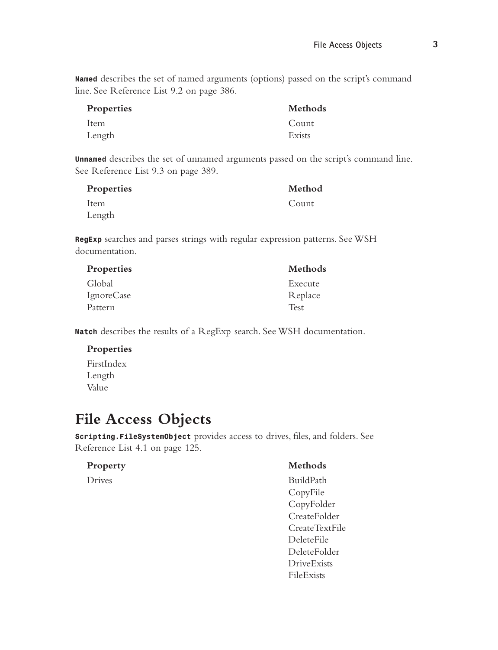**Named** describes the set of named arguments (options) passed on the script's command line. See Reference List 9.2 on page 386.

| Properties | Methods |
|------------|---------|
| Item       | Count   |
| Length     | Exists  |

**Unnamed** describes the set of unnamed arguments passed on the script's command line. See Reference List 9.3 on page 389.

| <b>Properties</b> | Method |
|-------------------|--------|
| Item              | Count  |
| Length            |        |

**RegExp** searches and parses strings with regular expression patterns. See WSH documentation.

| <b>Properties</b> | Methods     |
|-------------------|-------------|
| Global            | Execute     |
| IgnoreCase        | Replace     |
| Pattern           | <b>Test</b> |

**Match** describes the results of a RegExp search. See WSH documentation.

## **Properties**

FirstIndex Length Value

## **File Access Objects**

**Scripting.FileSystemObject** provides access to drives, files, and folders. See Reference List 4.1 on page 125.

## Property Methods

Drives BuildPath CopyFile CopyFolder CreateFolder CreateTextFile DeleteFile DeleteFolder DriveExists FileExists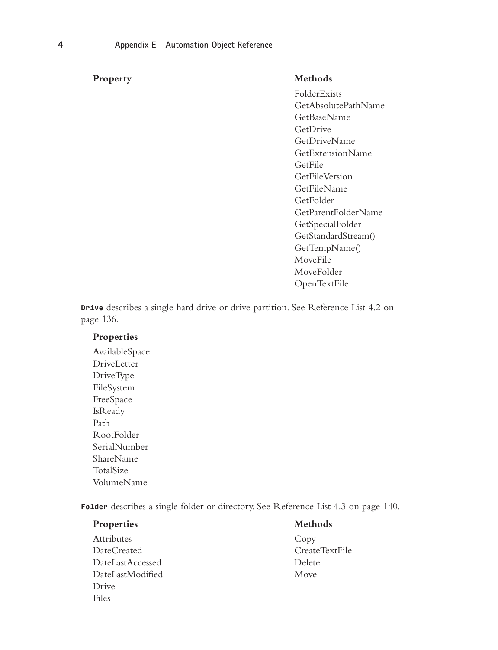## Property Methods

FolderExists GetAbsolutePathName GetBaseName GetDrive GetDriveName GetExtensionName GetFile GetFileVersion GetFileName GetFolder GetParentFolderName GetSpecialFolder GetStandardStream() GetTempName() MoveFile MoveFolder OpenTextFile

**Drive** describes a single hard drive or drive partition. See Reference List 4.2 on page 136.

## **Properties**

AvailableSpace DriveLetter DriveType FileSystem FreeSpace IsReady Path RootFolder SerialNumber ShareName **TotalSize** VolumeName

**Folder** describes a single folder or directory. See Reference List 4.3 on page 140.

## Properties Methods

| Attributes       | Copy           |
|------------------|----------------|
| DateCreated      | CreateTextFile |
| DateLastAccessed | Delete         |
| DateLastModified | Move           |
| Drive            |                |
| Files            |                |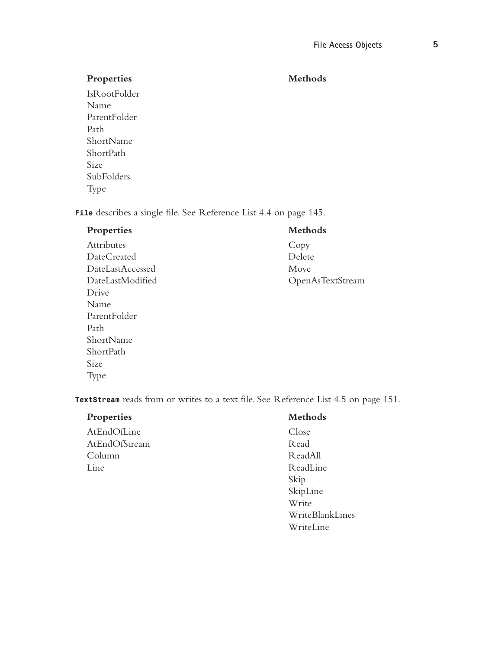## Properties Methods

WriteLine

IsRootFolder Name ParentFolder Path ShortName ShortPath Size SubFolders Type

**File** describes a single file. See Reference List 4.4 on page 145.

| Properties         | Methods          |
|--------------------|------------------|
| Attributes         | Copy             |
| <b>DateCreated</b> | Delete           |
| DateLastAccessed   | Move             |
| DateLastModified   | OpenAsTextStream |
| Drive              |                  |
| Name               |                  |
| ParentFolder       |                  |
| Path               |                  |
| ShortName          |                  |
| ShortPath          |                  |
| Size               |                  |
| Type               |                  |

**TextStream** reads from or writes to a text file. See Reference List 4.5 on page 151.

| Properties    | Methods         |
|---------------|-----------------|
| AtEndOfLine   | Close           |
| AtEndOfStream | Read            |
| Column        | ReadAll         |
| Line          | ReadLine        |
|               | Skip            |
|               | SkipLine        |
|               | Write           |
|               | WriteBlankLines |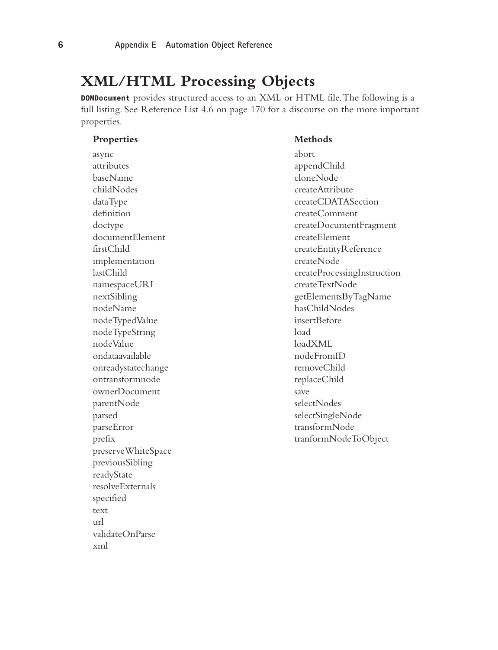## **XML/HTML Processing Objects**

**DOMDocument** provides structured access to an XML or HTML file.The following is a full listing. See Reference List 4.6 on page 170 for a discourse on the more important properties.

| Properties         | Methods                     |
|--------------------|-----------------------------|
| async              | abort                       |
| attributes         | appendChild                 |
| baseName           | cloneNode                   |
| childNodes         | createAttribute             |
| dataType           | createCDATASection          |
| definition         | createComment               |
| doctype            | createDocumentFragment      |
| documentElement    | createElement               |
| firstChild         | createEntityReference       |
| implementation     | createNode                  |
| lastChild          | createProcessingInstruction |
| namespaceURI       | createTextNode              |
| nextSibling        | getElementsByTagName        |
| nodeName           | hasChildNodes               |
| nodeTypedValue     | insertBefore                |
| nodeTypeString     | load                        |
| nodeValue          | loadXML                     |
| ondataavailable    | nodeFromID                  |
| onreadystatechange | removeChild                 |
| ontransformnode    | replaceChild                |
| ownerDocument      | save                        |
| parentNode         | selectNodes                 |
| parsed             | selectSingleNode            |
| parseError         | transformNode               |
| prefix             | tranformNodeToObject        |
| preserveWhiteSpace |                             |
| previousSibling    |                             |
| readyState         |                             |
| resolveExternals   |                             |
| specified          |                             |
| text               |                             |

url

xml

validateOnParse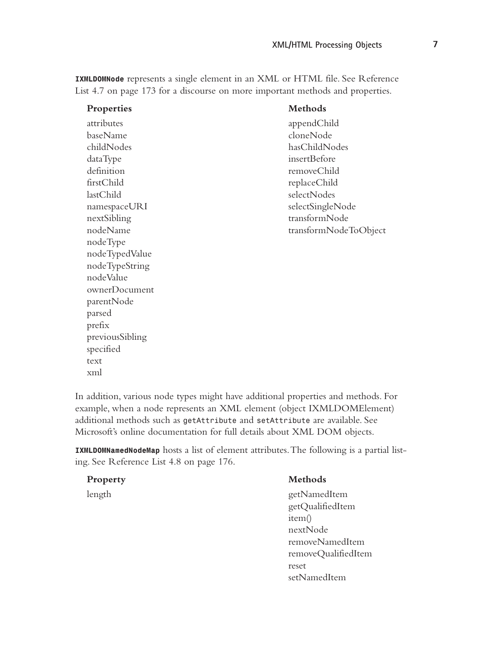| Properties      | Methods               |
|-----------------|-----------------------|
| attributes      | appendChild           |
| baseName        | cloneNode             |
| childNodes      | hasChildNodes         |
| dataType        | insertBefore          |
| definition      | removeChild           |
| firstChild      | replaceChild          |
| lastChild       | selectNodes           |
| namespaceURI    | selectSingleNode      |
| nextSibling     | transformNode         |
| nodeName        | transformNodeToObject |
| nodeType        |                       |
| nodeTypedValue  |                       |
| nodeTypeString  |                       |
| nodeValue       |                       |
| ownerDocument   |                       |
| parentNode      |                       |
| parsed          |                       |
| prefix          |                       |
| previousSibling |                       |
| specified       |                       |
| text            |                       |
| xml             |                       |

**IXMLDOMNode** represents a single element in an XML or HTML file. See Reference List 4.7 on page 173 for a discourse on more important methods and properties.

In addition, various node types might have additional properties and methods. For example, when a node represents an XML element (object IXMLDOMElement) additional methods such as getAttribute and setAttribute are available. See Microsoft's online documentation for full details about XML DOM objects.

**IXMLDOMNamedNodeMap** hosts a list of element attributes.The following is a partial listing. See Reference List 4.8 on page 176.

## Property Methods

length getNamedItem getQualifiedItem item() nextNode removeNamedItem removeQualifiedItem reset setNamedItem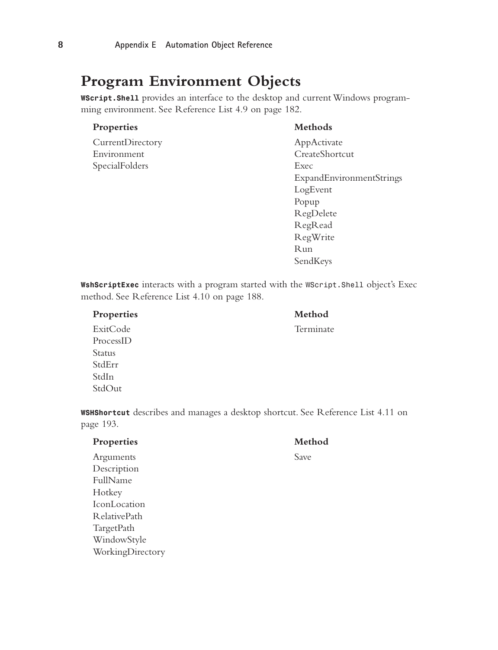## **Program Environment Objects**

**WScript.Shell** provides an interface to the desktop and current Windows programming environment. See Reference List 4.9 on page 182.

## Properties Methods

- CurrentDirectory AppActivate Environment CreateShortcut SpecialFolders Exec
- ExpandEnvironmentStrings LogEvent Popup RegDelete RegRead RegWrite Run SendKeys

**WshScriptExec** interacts with a program started with the WScript.Shell object's Exec method. See Reference List 4.10 on page 188.

| Properties | Method    |
|------------|-----------|
| ExitCode   | Terminate |
| ProcessID  |           |
| Status     |           |
| StdErr     |           |
| StdIn      |           |
| StdOut     |           |

**WSHShortcut** describes and manages a desktop shortcut. See Reference List 4.11 on page 193.

### Properties Method

Arguments Save Description FullName Hotkey IconLocation RelativePath TargetPath WindowStyle WorkingDirectory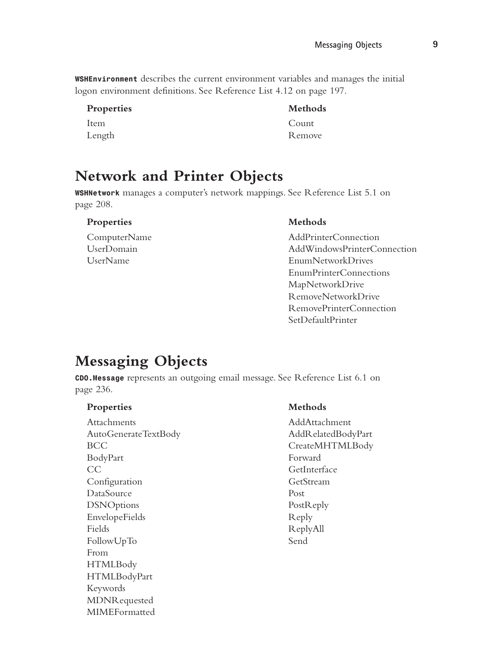**WSHEnvironment** describes the current environment variables and manages the initial logon environment definitions. See Reference List 4.12 on page 197.

| Properties | Methods |
|------------|---------|
| Item       | Count   |
| Length     | Remove  |

## **Network and Printer Objects**

**WSHNetwork** manages a computer's network mappings. See Reference List 5.1 on page 208.

## Properties Methods

ComputerName AddPrinterConnection UserDomain AddWindowsPrinterConnection UserName EnumNetworkDrives EnumPrinterConnections MapNetworkDrive RemoveNetworkDrive RemovePrinterConnection SetDefaultPrinter

## **Messaging Objects**

MDNRequested MIMEFormatted

**CDO.Message** represents an outgoing email message. See Reference List 6.1 on page 236.

| Properties           | Methods            |
|----------------------|--------------------|
| Attachments          | AddAttachment      |
| AutoGenerateTextBody | AddRelatedBodyPart |
| BCC                  | CreateMHTMLBody    |
| BodyPart             | Forward            |
| CC                   | GetInterface       |
| Configuration        | GetStream          |
| DataSource           | Post               |
| <b>DSNOptions</b>    | PostReply          |
| EnvelopeFields       | Reply              |
| Fields               | ReplyAll           |
| FollowUpTo           | Send               |
| From                 |                    |
| <b>HTMLBody</b>      |                    |
| <b>HTMLBodyPart</b>  |                    |
| Keywords             |                    |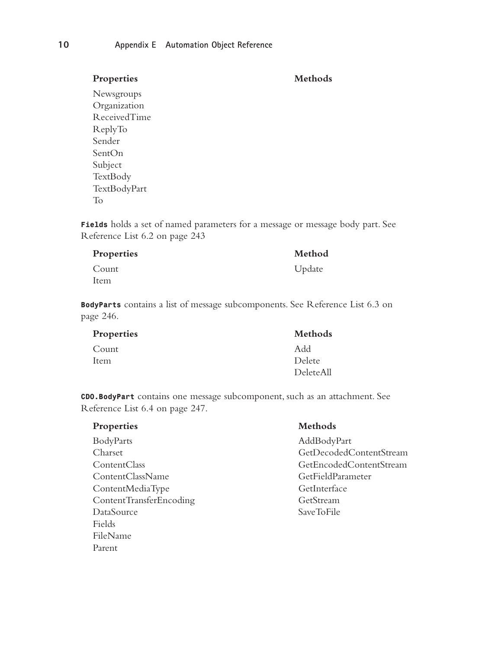## Properties Methods

Newsgroups Organization ReceivedTime ReplyTo Sender SentOn Subject TextBody TextBodyPart To

**Fields** holds a set of named parameters for a message or message body part. See Reference List 6.2 on page 243

## **Properties Method**

Count Update Item

**BodyParts** contains a list of message subcomponents. See Reference List 6.3 on page 246.

| Properties | Methods   |
|------------|-----------|
| Count      | Add       |
| Item       | Delete    |
|            | DeleteAll |

**CDO.BodyPart** contains one message subcomponent, such as an attachment. See Reference List 6.4 on page 247.

| Properties              | Methods                 |
|-------------------------|-------------------------|
| BodyParts               | AddBodyPart             |
| Charset                 | GetDecodedContentStream |
| ContentClass            | GetEncodedContentStream |
| ContentClassName        | GetFieldParameter       |
| ContentMediaType        | GetInterface            |
| ContentTransferEncoding | GetStream               |
| DataSource              | SaveToFile              |
| Fields                  |                         |
| FileName                |                         |
| Parent                  |                         |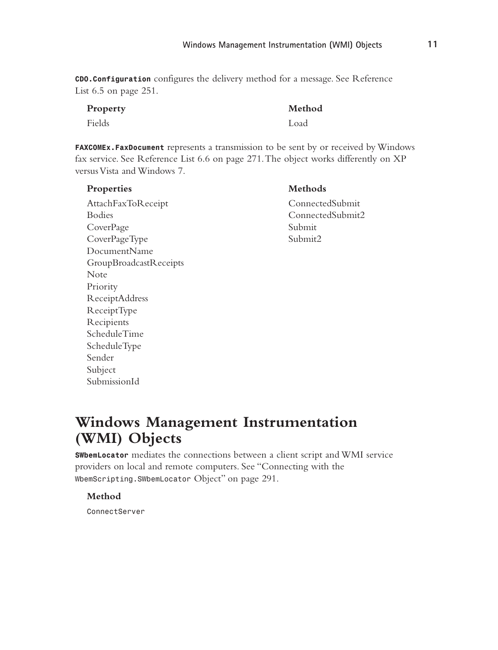**CDO.Configuration** configures the delivery method for a message. See Reference List 6.5 on page 251.

| Property | Method |
|----------|--------|
| Fields   | Load   |

**FAXCOMEx.FaxDocument** represents a transmission to be sent by or received by Windows fax service. See Reference List 6.6 on page 271.The object works differently on XP versus Vista and Windows 7.

| Properties             | Methods          |
|------------------------|------------------|
| AttachFaxToReceipt     | ConnectedSubmit  |
| <b>Bodies</b>          | ConnectedSubmit2 |
| CoverPage              | Submit           |
| CoverPageType          | Submit2          |
| DocumentName           |                  |
| GroupBroadcastReceipts |                  |
| Note                   |                  |
| Priority               |                  |
| ReceiptAddress         |                  |
| ReceiptType            |                  |
| Recipients             |                  |
| ScheduleTime           |                  |
| ScheduleType           |                  |
| Sender                 |                  |
| Subject                |                  |

## **Windows Management Instrumentation (WMI) Objects**

**SWbemLocator** mediates the connections between a client script and WMI service providers on local and remote computers. See "Connecting with the WbemScripting.SWbemLocator Object" on page 291.

**Method**

ConnectServer

SubmissionId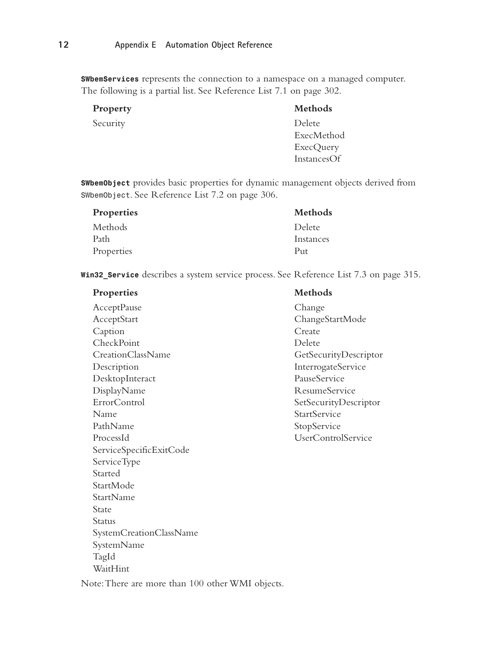**SWbemServices** represents the connection to a namespace on a managed computer. The following is a partial list. See Reference List 7.1 on page 302.

| Property | Methods     |
|----------|-------------|
| Security | Delete      |
|          | ExecMethod  |
|          | ExecQuery   |
|          | InstancesOf |

**SWbemObject** provides basic properties for dynamic management objects derived from SWbemObject. See Reference List 7.2 on page 306.

| Properties | Methods   |
|------------|-----------|
| Methods    | Delete    |
| Path       | Instances |
| Properties | Put       |

**Win32\_Service** describes a system service process. See Reference List 7.3 on page 315.

| Properties              | Methods                   |
|-------------------------|---------------------------|
| AcceptPause             | Change                    |
| AcceptStart             | ChangeStartMode           |
| Caption                 | Create                    |
| CheckPoint              | Delete                    |
| CreationClassName       | GetSecurityDescriptor     |
| Description             | InterrogateService        |
| DesktopInteract         | PauseService              |
| DisplayName             | ResumeService             |
| ErrorControl            | SetSecurityDescriptor     |
| Name                    | <b>StartService</b>       |
| PathName                | StopService               |
| ProcessId               | <b>UserControlService</b> |
| ServiceSpecificExitCode |                           |
| ServiceType             |                           |
| Started                 |                           |
| StartMode               |                           |
| StartName               |                           |
| State                   |                           |
| Status                  |                           |
| SystemCreationClassName |                           |
| SystemName              |                           |
| TagId                   |                           |
| WaitHint                |                           |
|                         |                           |

Note:There are more than 100 other WMI objects.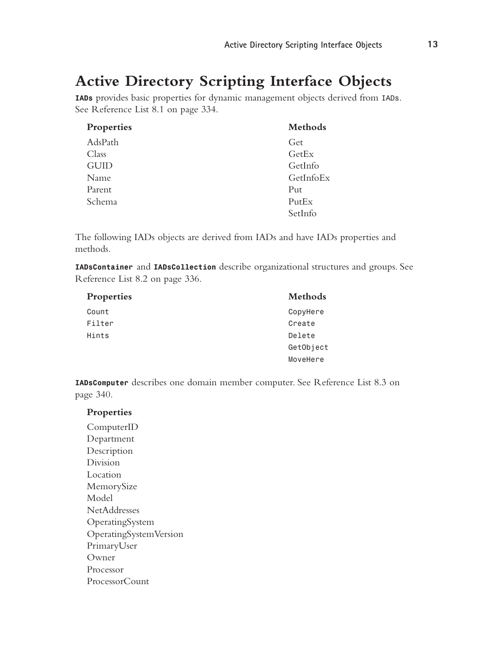## **Active Directory Scripting Interface Objects**

**IADs** provides basic properties for dynamic management objects derived from IADs. See Reference List 8.1 on page 334.

| Properties  | Methods   |
|-------------|-----------|
| AdsPath     | Get       |
| Class       | GetEx     |
| <b>GUID</b> | GetInfo   |
| Name        | GetInfoEx |
| Parent      | Put       |
| Schema      | PutEx     |
|             | SetInfo   |

The following IADs objects are derived from IADs and have IADs properties and methods.

**IADsContainer** and **IADsCollection** describe organizational structures and groups. See Reference List 8.2 on page 336.

| Properties | Methods   |
|------------|-----------|
| Count      | CopyHere  |
| Filter     | Create    |
| Hints      | Delete    |
|            | GetObject |
|            | MoveHere  |

**IADsComputer** describes one domain member computer. See Reference List 8.3 on page 340.

## **Properties**

ComputerID Department Description Division Location MemorySize Model NetAddresses OperatingSystem OperatingSystemVersion PrimaryUser Owner Processor ProcessorCount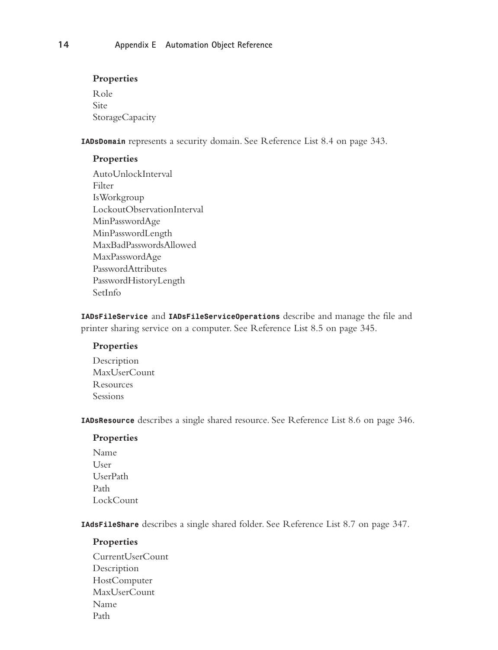## **Properties**

Role Site StorageCapacity

**IADsDomain** represents a security domain. See Reference List 8.4 on page 343.

## **Properties**

AutoUnlockInterval Filter IsWorkgroup LockoutObservationInterval MinPasswordAge MinPasswordLength MaxBadPasswordsAllowed MaxPasswordAge PasswordAttributes PasswordHistoryLength SetInfo

**IADsFileService** and **IADsFileServiceOperations** describe and manage the file and printer sharing service on a computer. See Reference List 8.5 on page 345.

### **Properties**

Description MaxUserCount Resources Sessions

**IADsResource** describes a single shared resource. See Reference List 8.6 on page 346.

## **Properties**

Name User UserPath Path LockCount

**IAdsFileShare** describes a single shared folder. See Reference List 8.7 on page 347.

## **Properties**

CurrentUserCount Description **HostComputer** MaxUserCount Name Path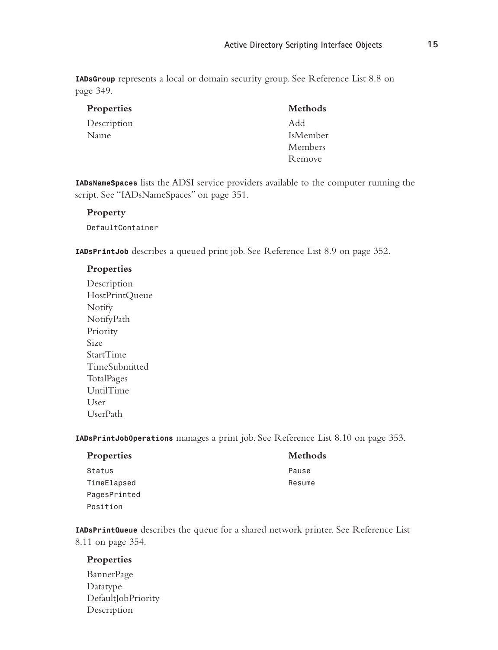**IADsGroup** represents a local or domain security group. See Reference List 8.8 on page 349.

| Properties  | Methods         |
|-------------|-----------------|
| Description | Add             |
| Name        | <b>IsMember</b> |
|             | Members         |
|             | Remove          |

**IADsNameSpaces** lists the ADSI service providers available to the computer running the script. See "IADsNameSpaces" on page 351.

### **Property**

DefaultContainer

**IADsPrintJob** describes a queued print job. See Reference List 8.9 on page 352.

### **Properties**

Description HostPrintQueue Notify NotifyPath Priority Size StartTime TimeSubmitted TotalPages UntilTime User UserPath

**IADsPrintJobOperations** manages a print job. See Reference List 8.10 on page 353.

| Properties   | Methods |
|--------------|---------|
| Status       | Pause   |
| TimeElapsed  | Resume  |
| PagesPrinted |         |
| Position     |         |

**IADsPrintQueue** describes the queue for a shared network printer. See Reference List 8.11 on page 354.

## **Properties**

BannerPage Datatype DefaultJobPriority Description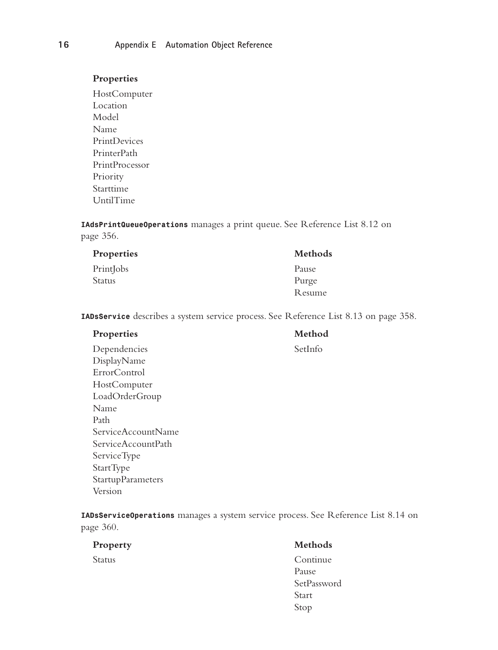## **Properties**

**HostComputer** Location Model Name PrintDevices PrinterPath PrintProcessor Priority Starttime UntilTime

**IAdsPrintQueueOperations** manages a print queue. See Reference List 8.12 on page 356.

| Properties | Methods |
|------------|---------|
| PrintJobs  | Pause   |
| Status     | Purge   |
|            | Resume  |

**IADsService** describes a system service process. See Reference List 8.13 on page 358.

## Properties Method

Stop

Dependencies SetInfo DisplayName ErrorControl **HostComputer** LoadOrderGroup Name Path ServiceAccountName ServiceAccountPath ServiceType StartType **StartupParameters** Version

**IADsServiceOperations** manages a system service process. See Reference List 8.14 on page 360.

| Property | Methods     |
|----------|-------------|
| Status   | Continue    |
|          | Pause       |
|          | SetPassword |
|          | Start       |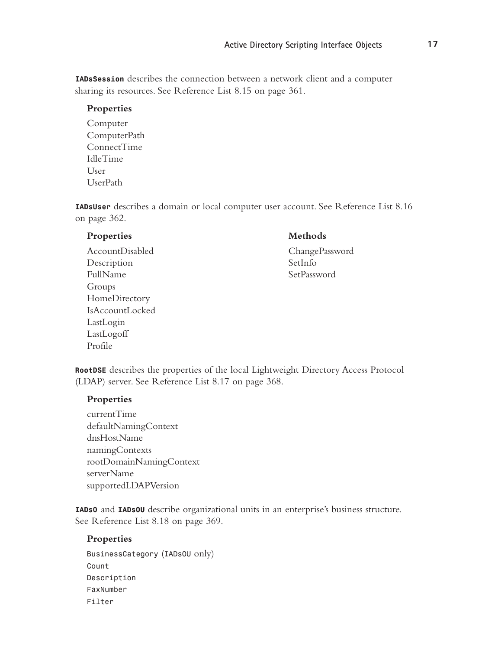**IADsSession** describes the connection between a network client and a computer sharing its resources. See Reference List 8.15 on page 361.

## **Properties**

Computer ComputerPath ConnectTime IdleTime User UserPath

**IADsUser** describes a domain or local computer user account. See Reference List 8.16 on page 362.

## Properties Methods

Description SetInfo FullName SetPassword Groups HomeDirectory IsAccountLocked LastLogin LastLogoff Profile

AccountDisabled ChangePassword

**RootDSE** describes the properties of the local Lightweight Directory Access Protocol (LDAP) server. See Reference List 8.17 on page 368.

## **Properties**

currentTime defaultNamingContext dnsHostName namingContexts rootDomainNamingContext serverName supportedLDAPVersion

**IADsO** and **IADsOU** describe organizational units in an enterprise's business structure. See Reference List 8.18 on page 369.

### **Properties**

BusinessCategory (IADsOU only) Count Description FaxNumber Filter